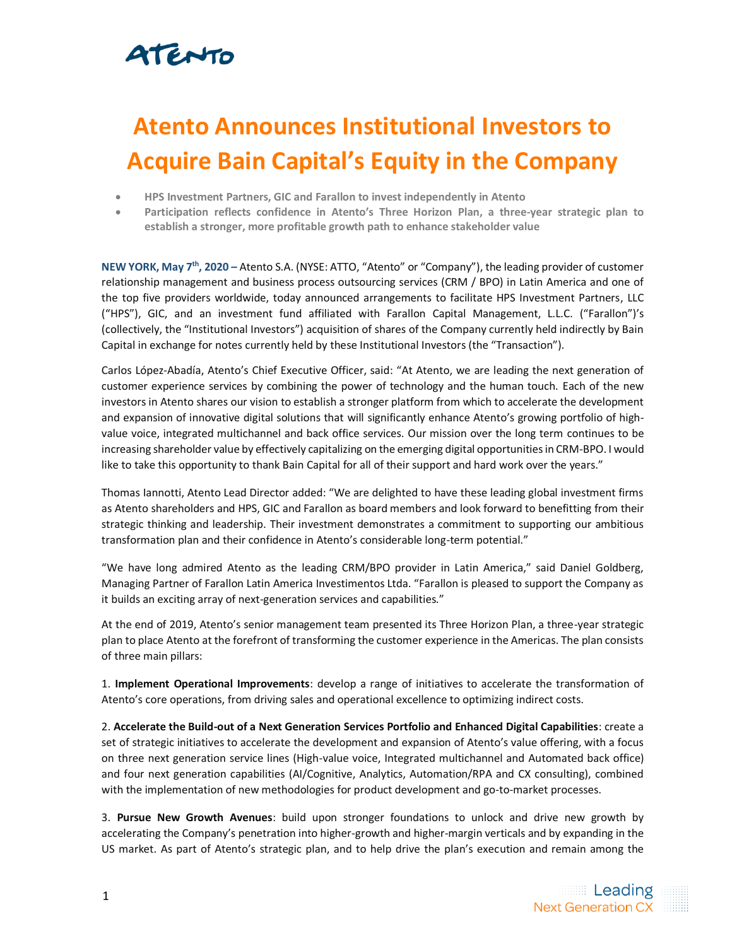### ATENTO

# **Atento Announces Institutional Investors to Acquire Bain Capital's Equity in the Company**

- **HPS Investment Partners, GIC and Farallon to invest independently in Atento**
- **Participation reflects confidence in Atento's Three Horizon Plan, a three-year strategic plan to establish a stronger, more profitable growth path to enhance stakeholder value**

**NEW YORK, May 7 th, 2020 –** Atento S.A. (NYSE: ATTO, "Atento" or "Company"), the leading provider of customer relationship management and business process outsourcing services (CRM / BPO) in Latin America and one of the top five providers worldwide, today announced arrangements to facilitate HPS Investment Partners, LLC ("HPS"), GIC, and an investment fund affiliated with Farallon Capital Management, L.L.C. ("Farallon")'s (collectively, the "Institutional Investors") acquisition of shares of the Company currently held indirectly by Bain Capital in exchange for notes currently held by these Institutional Investors (the "Transaction").

Carlos López-Abadía, Atento's Chief Executive Officer, said: "At Atento, we are leading the next generation of customer experience services by combining the power of technology and the human touch. Each of the new investors in Atento shares our vision to establish a stronger platform from which to accelerate the development and expansion of innovative digital solutions that will significantly enhance Atento's growing portfolio of highvalue voice, integrated multichannel and back office services. Our mission over the long term continues to be increasing shareholder value by effectively capitalizing on the emerging digital opportunities in CRM-BPO. I would like to take this opportunity to thank Bain Capital for all of their support and hard work over the years."

Thomas Iannotti, Atento Lead Director added: "We are delighted to have these leading global investment firms as Atento shareholders and HPS, GIC and Farallon as board members and look forward to benefitting from their strategic thinking and leadership. Their investment demonstrates a commitment to supporting our ambitious transformation plan and their confidence in Atento's considerable long-term potential."

"We have long admired Atento as the leading CRM/BPO provider in Latin America," said Daniel Goldberg, Managing Partner of Farallon Latin America Investimentos Ltda. "Farallon is pleased to support the Company as it builds an exciting array of next-generation services and capabilities."

At the end of 2019, Atento's senior management team presented its Three Horizon Plan, a three-year strategic plan to place Atento at the forefront of transforming the customer experience in the Americas. The plan consists of three main pillars:

1. **Implement Operational Improvements**: develop a range of initiatives to accelerate the transformation of Atento's core operations, from driving sales and operational excellence to optimizing indirect costs.

2. **Accelerate the Build-out of a Next Generation Services Portfolio and Enhanced Digital Capabilities**: create a set of strategic initiatives to accelerate the development and expansion of Atento's value offering, with a focus on three next generation service lines (High-value voice, Integrated multichannel and Automated back office) and four next generation capabilities (AI/Cognitive, Analytics, Automation/RPA and CX consulting), combined with the implementation of new methodologies for product development and go-to-market processes.

3. **Pursue New Growth Avenues**: build upon stronger foundations to unlock and drive new growth by accelerating the Company's penetration into higher-growth and higher-margin verticals and by expanding in the US market. As part of Atento's strategic plan, and to help drive the plan's execution and remain among the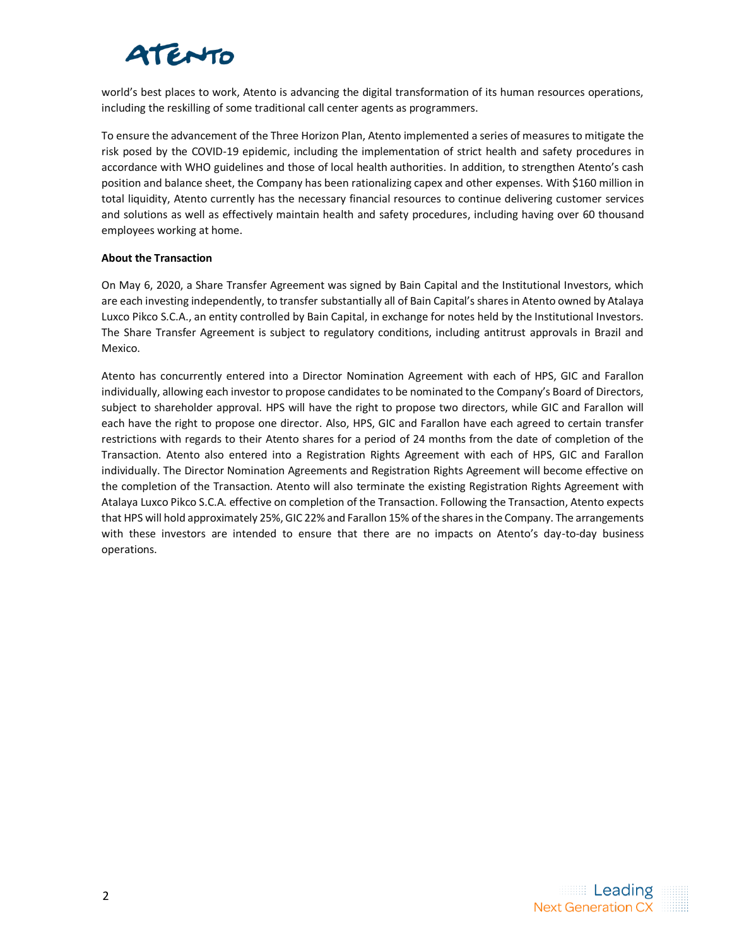# ATENTO

world's best places to work, Atento is advancing the digital transformation of its human resources operations, including the reskilling of some traditional call center agents as programmers.

To ensure the advancement of the Three Horizon Plan, Atento implemented a series of measures to mitigate the risk posed by the COVID-19 epidemic, including the implementation of strict health and safety procedures in accordance with WHO guidelines and those of local health authorities. In addition, to strengthen Atento's cash position and balance sheet, the Company has been rationalizing capex and other expenses. With \$160 million in total liquidity, Atento currently has the necessary financial resources to continue delivering customer services and solutions as well as effectively maintain health and safety procedures, including having over 60 thousand employees working at home.

### **About the Transaction**

On May 6, 2020, a Share Transfer Agreement was signed by Bain Capital and the Institutional Investors, which are each investing independently, to transfer substantially all of Bain Capital's shares in Atento owned by Atalaya Luxco Pikco S.C.A., an entity controlled by Bain Capital, in exchange for notes held by the Institutional Investors. The Share Transfer Agreement is subject to regulatory conditions, including antitrust approvals in Brazil and Mexico.

Atento has concurrently entered into a Director Nomination Agreement with each of HPS, GIC and Farallon individually, allowing each investor to propose candidates to be nominated to the Company's Board of Directors, subject to shareholder approval. HPS will have the right to propose two directors, while GIC and Farallon will each have the right to propose one director. Also, HPS, GIC and Farallon have each agreed to certain transfer restrictions with regards to their Atento shares for a period of 24 months from the date of completion of the Transaction. Atento also entered into a Registration Rights Agreement with each of HPS, GIC and Farallon individually. The Director Nomination Agreements and Registration Rights Agreement will become effective on the completion of the Transaction. Atento will also terminate the existing Registration Rights Agreement with Atalaya Luxco Pikco S.C.A. effective on completion of the Transaction. Following the Transaction, Atento expects that HPS will hold approximately 25%, GIC 22% and Farallon 15% of the shares in the Company. The arrangements with these investors are intended to ensure that there are no impacts on Atento's day-to-day business operations.